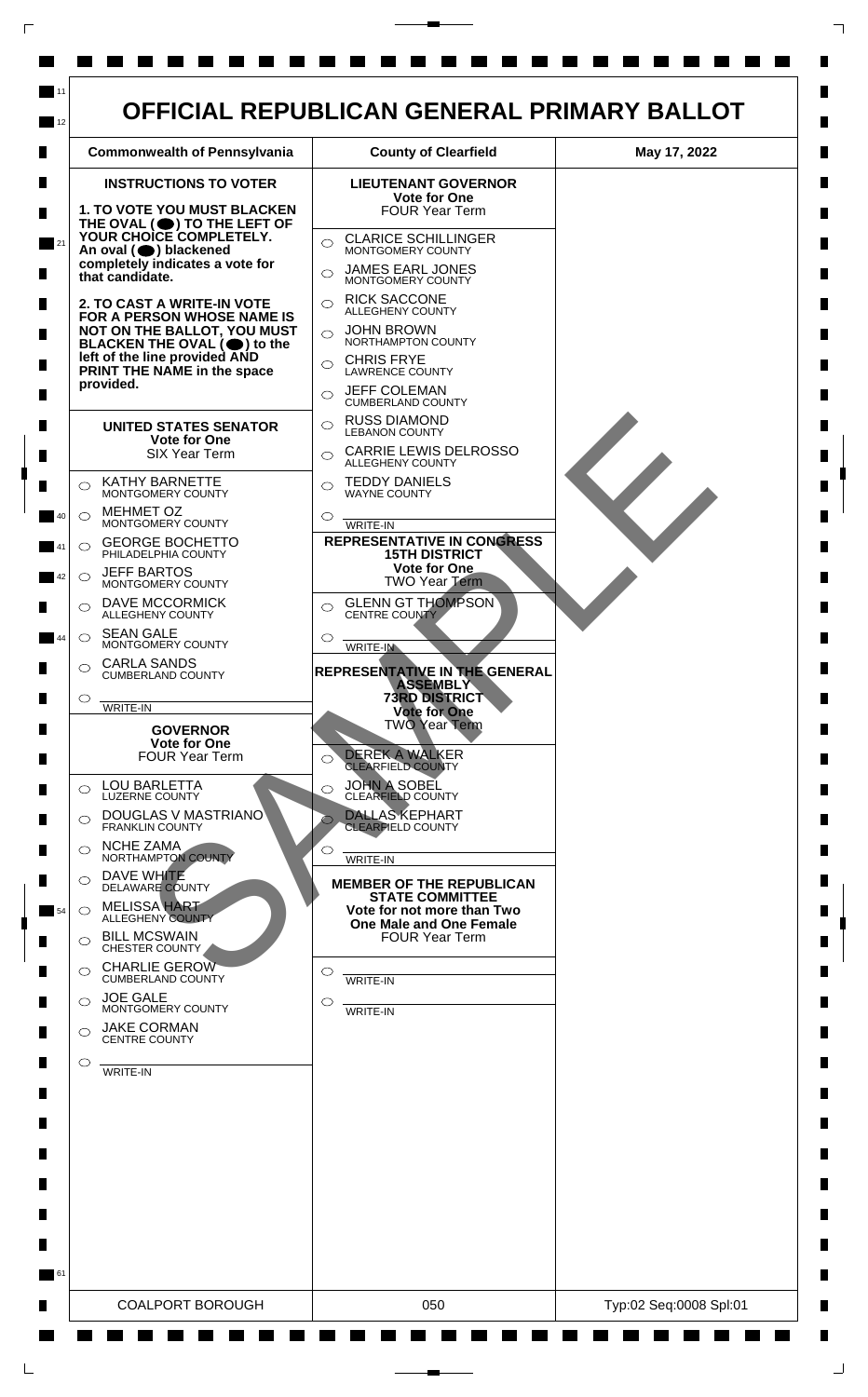

 $\mathsf{L}$